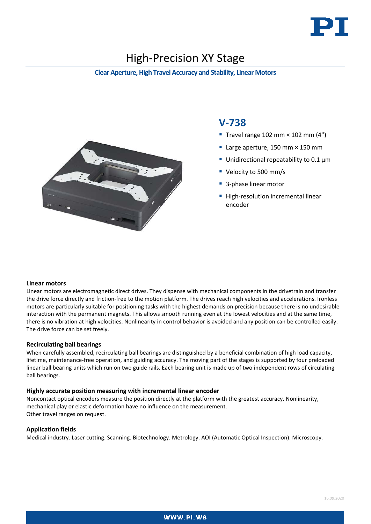

# High-Precision XY Stage

#### **Clear Aperture, High Travel Accuracy and Stability, Linear Motors**



## **V-738**

- Travel range 102 mm  $\times$  102 mm (4")
- Large aperture, 150 mm × 150 mm
- Unidirectional repeatability to  $0.1 \mu m$
- Velocity to 500 mm/s
- 3-phase linear motor
- High-resolution incremental linear encoder

#### **Linear motors**

Linear motors are electromagnetic direct drives. They dispense with mechanical components in the drivetrain and transfer the drive force directly and friction-free to the motion platform. The drives reach high velocities and accelerations. Ironless motors are particularly suitable for positioning tasks with the highest demands on precision because there is no undesirable interaction with the permanent magnets. This allows smooth running even at the lowest velocities and at the same time, there is no vibration at high velocities. Nonlinearity in control behavior is avoided and any position can be controlled easily. The drive force can be set freely.

#### **Recirculating ball bearings**

When carefully assembled, recirculating ball bearings are distinguished by a beneficial combination of high load capacity, lifetime, maintenance-free operation, and guiding accuracy. The moving part of the stages is supported by four preloaded linear ball bearing units which run on two guide rails. Each bearing unit is made up of two independent rows of circulating ball bearings.

#### **Highly accurate position measuring with incremental linear encoder**

Noncontact optical encoders measure the position directly at the platform with the greatest accuracy. Nonlinearity, mechanical play or elastic deformation have no influence on the measurement. Other travel ranges on request.

#### **Application fields**

Medical industry. Laser cutting. Scanning. Biotechnology. Metrology. AOI (Automatic Optical Inspection). Microscopy.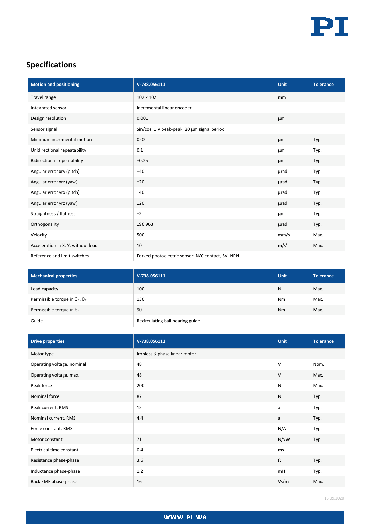

## **Specifications**

| <b>Motion and positioning</b>      | V-738.056111                                      | Unit             | <b>Tolerance</b> |
|------------------------------------|---------------------------------------------------|------------------|------------------|
| Travel range                       | 102 x 102                                         | mm               |                  |
| Integrated sensor                  | Incremental linear encoder                        |                  |                  |
| Design resolution                  | 0.001                                             | µm               |                  |
| Sensor signal                      | Sin/cos, 1 V peak-peak, 20 µm signal period       |                  |                  |
| Minimum incremental motion         | 0.02                                              | µm               | Typ.             |
| Unidirectional repeatability       | 0.1                                               | μm               | Typ.             |
| <b>Bidirectional repeatability</b> | ±0.25                                             | µm               | Typ.             |
| Angular error xry (pitch)          | ±40                                               | urad             | Typ.             |
| Angular error xrz (yaw)            | ±20                                               | urad             | Typ.             |
| Angular error yrx (pitch)          | ±40                                               | urad             | Typ.             |
| Angular error yrz (yaw)            | ±20                                               | urad             | Typ.             |
| Straightness / flatness            | ±2                                                | μm               | Typ.             |
| Orthogonality                      | ±96.963                                           | urad             | Typ.             |
| Velocity                           | 500                                               | mm/s             | Max.             |
| Acceleration in X, Y, without load | 10                                                | m/s <sup>2</sup> | Max.             |
| Reference and limit switches       | Forked photoelectric sensor, N/C contact, 5V, NPN |                  |                  |

| <b>Mechanical properties</b>                  | V-738.056111                     | <b>Unit</b> | <b>Tolerance</b> |
|-----------------------------------------------|----------------------------------|-------------|------------------|
| Load capacity                                 | 100                              | N           | Max.             |
| Permissible torque in $\theta_X$ , $\theta_Y$ | 130                              | <b>Nm</b>   | Max.             |
| Permissible torque in $\theta$ <sub>z</sub>   | 90                               | <b>Nm</b>   | Max.             |
| Guide                                         | Recirculating ball bearing guide |             |                  |

| <b>Drive properties</b>    | V-738.056111                  | <b>Unit</b>  | <b>Tolerance</b> |
|----------------------------|-------------------------------|--------------|------------------|
| Motor type                 | Ironless 3-phase linear motor |              |                  |
| Operating voltage, nominal | 48                            | $\vee$       | Nom.             |
| Operating voltage, max.    | 48                            | V            | Max.             |
| Peak force                 | 200                           | $\mathsf{N}$ | Max.             |
| Nominal force              | 87                            | ${\sf N}$    | Typ.             |
| Peak current, RMS          | 15                            | a            | Typ.             |
| Nominal current, RMS       | 4.4                           | a            | Typ.             |
| Force constant, RMS        |                               | N/A          | Typ.             |
| Motor constant             | 71                            | N/VW         | Typ.             |
| Electrical time constant   | 0.4                           | ms           |                  |
| Resistance phase-phase     | 3.6                           | Ω            | Typ.             |
| Inductance phase-phase     | 1.2                           | mH           | Typ.             |
| Back EMF phase-phase       | 16                            | Vs/m         | Max.             |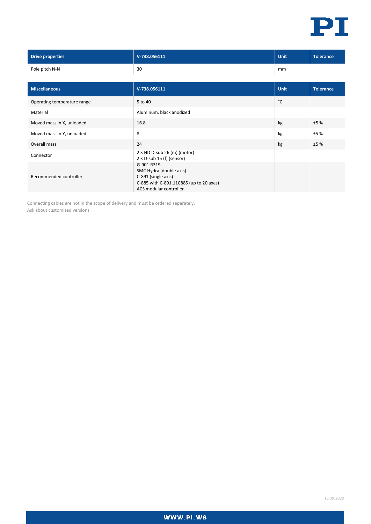

| <b>Drive properties</b>     | V-738.056111                                                                                                                      | <b>Unit</b> | <b>Tolerance</b> |
|-----------------------------|-----------------------------------------------------------------------------------------------------------------------------------|-------------|------------------|
| Pole pitch N-N              | 30                                                                                                                                | mm          |                  |
|                             |                                                                                                                                   |             |                  |
| <b>Miscellaneous</b>        | V-738.056111                                                                                                                      | <b>Unit</b> | <b>Tolerance</b> |
| Operating temperature range | 5 to 40                                                                                                                           | °C          |                  |
| Material                    | Aluminum, black anodized                                                                                                          |             |                  |
| Moved mass in X, unloaded   | 16.8                                                                                                                              | kg          | ±5%              |
| Moved mass in Y, unloaded   | 8                                                                                                                                 | kg          | ±5%              |
| Overall mass                | 24                                                                                                                                | kg          | ±5%              |
| Connector                   | $2 \times$ HD D-sub 26 (m) (motor)<br>$2 \times D$ -sub 15 (f) (sensor)                                                           |             |                  |
| Recommended controller      | G-901.R319<br>SMC Hydra (double axis)<br>C-891 (single axis)<br>C-885 with C-891.11C885 (up to 20 axes)<br>ACS modular controller |             |                  |

Connecting cables are not in the scope of delivery and must be ordered separately. Ask about customized versions.